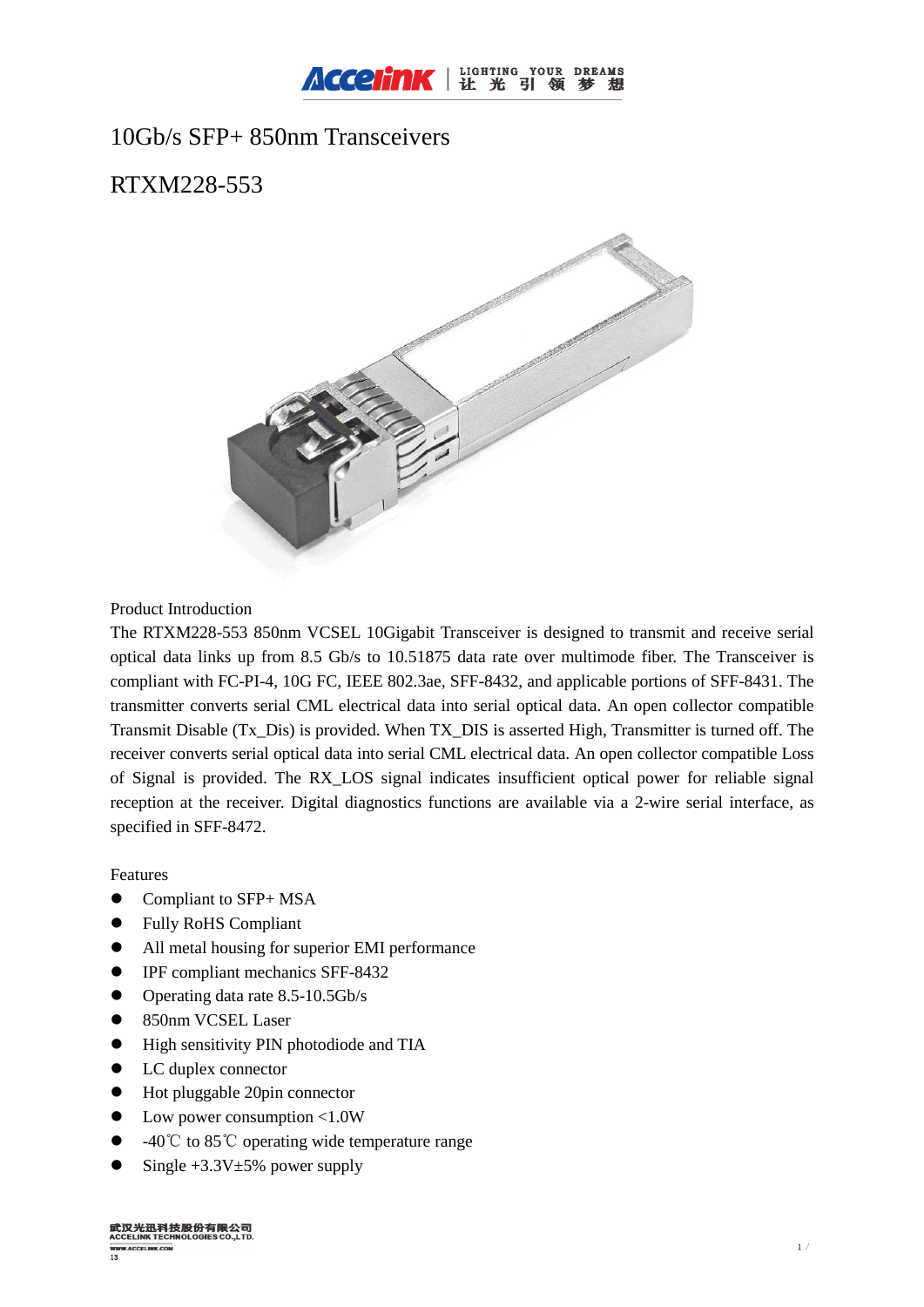

# 10Gb/s SFP+ 850nm Transceivers

# RTXM228-553



Product Introduction

The RTXM228-553 850nm VCSEL 10Gigabit Transceiver is designed to transmit and receive serial optical data links up from 8.5 Gb/s to 10.51875 data rate over multimode fiber. The Transceiver is compliant with FC-PI-4, 10G FC, IEEE 802.3ae, SFF-8432, and applicable portions of SFF-8431. The transmitter converts serial CML electrical data into serial optical data. An open collector compatible Transmit Disable (Tx\_Dis) is provided. When TX\_DIS is asserted High, Transmitter is turned off. The receiver converts serial optical data into serial CML electrical data. An open collector compatible Loss of Signal is provided. The RX\_LOS signal indicates insufficient optical power for reliable signal reception at the receiver. Digital diagnostics functions are available via a 2-wire serial interface, as specified in SFF-8472.

## Features

- $\bullet$  Compliant to SFP+ MSA
- l Fully RoHS Compliant
- All metal housing for superior EMI performance
- **•** IPF compliant mechanics SFF-8432
- $\bullet$  Operating data rate 8.5-10.5Gb/s
- **. 850nm VCSEL Laser**
- $\bullet$  High sensitivity PIN photodiode and TIA
- LC duplex connector
- $\bullet$  Hot pluggable 20pin connector
- $\bullet$  Low power consumption <1.0W
- -40 °C to 85 °C operating wide temperature range
- Single  $+3.3V\pm5%$  power supply